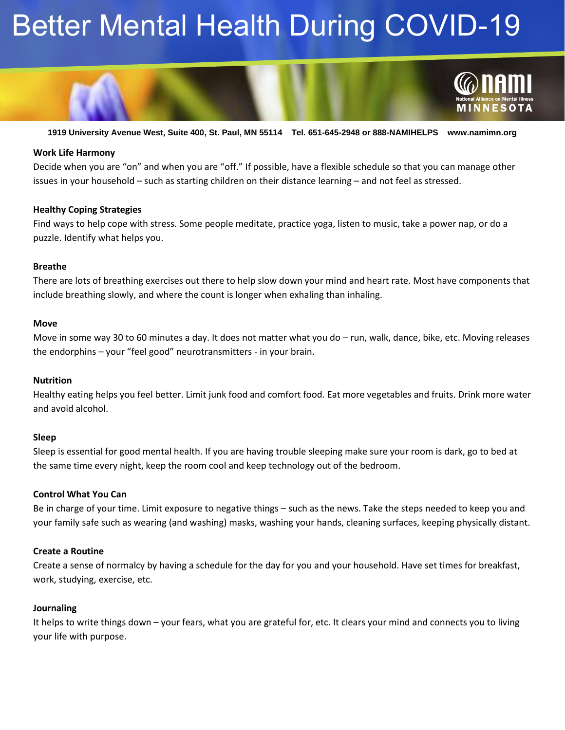# Better Mental Health During COVID-19



**1919 University Avenue West, Suite 400, St. Paul, MN 55114 Tel. 651-645-2948 or 888-NAMIHELPS www.namimn.org**

### **Work Life Harmony**

Decide when you are "on" and when you are "off." If possible, have a flexible schedule so that you can manage other issues in your household – such as starting children on their distance learning – and not feel as stressed.

## **Healthy Coping Strategies**

Find ways to help cope with stress. Some people meditate, practice yoga, listen to music, take a power nap, or do a puzzle. Identify what helps you.

## **Breathe**

There are lots of breathing exercises out there to help slow down your mind and heart rate. Most have components that include breathing slowly, and where the count is longer when exhaling than inhaling.

#### **Move**

Move in some way 30 to 60 minutes a day. It does not matter what you do – run, walk, dance, bike, etc. Moving releases the endorphins – your "feel good" neurotransmitters - in your brain.

#### **Nutrition**

Healthy eating helps you feel better. Limit junk food and comfort food. Eat more vegetables and fruits. Drink more water and avoid alcohol.

#### **Sleep**

Sleep is essential for good mental health. If you are having trouble sleeping make sure your room is dark, go to bed at the same time every night, keep the room cool and keep technology out of the bedroom.

#### **Control What You Can**

Be in charge of your time. Limit exposure to negative things – such as the news. Take the steps needed to keep you and your family safe such as wearing (and washing) masks, washing your hands, cleaning surfaces, keeping physically distant.

#### **Create a Routine**

Create a sense of normalcy by having a schedule for the day for you and your household. Have set times for breakfast, work, studying, exercise, etc.

## **Journaling**

It helps to write things down – your fears, what you are grateful for, etc. It clears your mind and connects you to living your life with purpose.